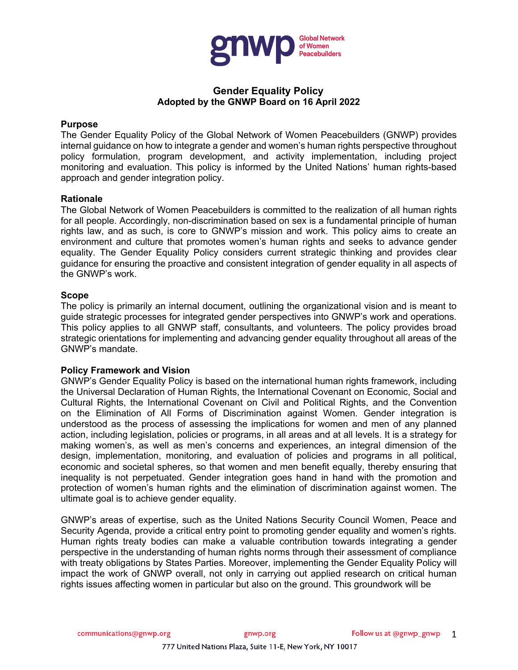

# **Gender Equality Policy Adopted by the GNWP Board on 16 April 2022**

#### **Purpose**

The Gender Equality Policy of the Global Network of Women Peacebuilders (GNWP) provides internal guidance on how to integrate a gender and women's human rights perspective throughout policy formulation, program development, and activity implementation, including project monitoring and evaluation. This policy is informed by the United Nations' human rights-based approach and gender integration policy.

#### **Rationale**

The Global Network of Women Peacebuilders is committed to the realization of all human rights for all people. Accordingly, non-discrimination based on sex is a fundamental principle of human rights law, and as such, is core to GNWP's mission and work. This policy aims to create an environment and culture that promotes women's human rights and seeks to advance gender equality. The Gender Equality Policy considers current strategic thinking and provides clear guidance for ensuring the proactive and consistent integration of gender equality in all aspects of the GNWP's work.

### **Scope**

The policy is primarily an internal document, outlining the organizational vision and is meant to guide strategic processes for integrated gender perspectives into GNWP's work and operations. This policy applies to all GNWP staff, consultants, and volunteers. The policy provides broad strategic orientations for implementing and advancing gender equality throughout all areas of the GNWP's mandate.

### **Policy Framework and Vision**

GNWP's Gender Equality Policy is based on the international human rights framework, including the Universal Declaration of Human Rights, the International Covenant on Economic, Social and Cultural Rights, the International Covenant on Civil and Political Rights, and the Convention on the Elimination of All Forms of Discrimination against Women. Gender integration is understood as the process of assessing the implications for women and men of any planned action, including legislation, policies or programs, in all areas and at all levels. It is a strategy for making women's, as well as men's concerns and experiences, an integral dimension of the design, implementation, monitoring, and evaluation of policies and programs in all political, economic and societal spheres, so that women and men benefit equally, thereby ensuring that inequality is not perpetuated. Gender integration goes hand in hand with the promotion and protection of women's human rights and the elimination of discrimination against women. The ultimate goal is to achieve gender equality.

GNWP's areas of expertise, such as the United Nations Security Council Women, Peace and Security Agenda, provide a critical entry point to promoting gender equality and women's rights. Human rights treaty bodies can make a valuable contribution towards integrating a gender perspective in the understanding of human rights norms through their assessment of compliance with treaty obligations by States Parties. Moreover, implementing the Gender Equality Policy will impact the work of GNWP overall, not only in carrying out applied research on critical human rights issues affecting women in particular but also on the ground. This groundwork will be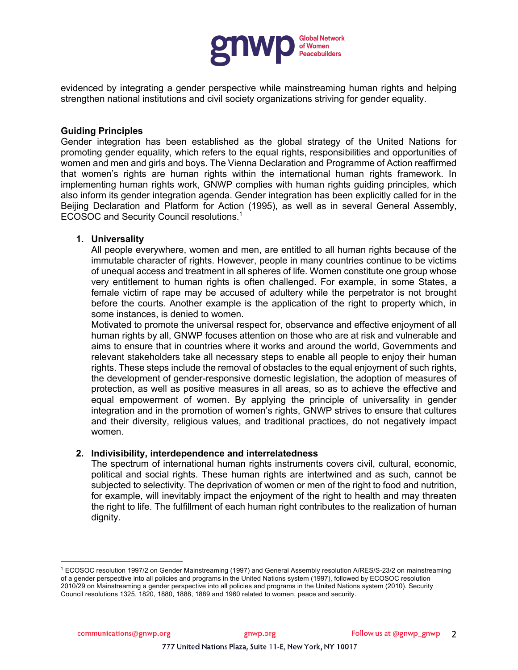

evidenced by integrating a gender perspective while mainstreaming human rights and helping strengthen national institutions and civil society organizations striving for gender equality.

#### **Guiding Principles**

Gender integration has been established as the global strategy of the United Nations for promoting gender equality, which refers to the equal rights, responsibilities and opportunities of women and men and girls and boys. The Vienna Declaration and Programme of Action reaffirmed that women's rights are human rights within the international human rights framework. In implementing human rights work, GNWP complies with human rights guiding principles, which also inform its gender integration agenda. Gender integration has been explicitly called for in the Beijing Declaration and Platform for Action (1995), as well as in several General Assembly, ECOSOC and Security Council resolutions.<sup>1</sup>

### **1. Universality**

All people everywhere, women and men, are entitled to all human rights because of the immutable character of rights. However, people in many countries continue to be victims of unequal access and treatment in all spheres of life. Women constitute one group whose very entitlement to human rights is often challenged. For example, in some States, a female victim of rape may be accused of adultery while the perpetrator is not brought before the courts. Another example is the application of the right to property which, in some instances, is denied to women.

Motivated to promote the universal respect for, observance and effective enjoyment of all human rights by all, GNWP focuses attention on those who are at risk and vulnerable and aims to ensure that in countries where it works and around the world, Governments and relevant stakeholders take all necessary steps to enable all people to enjoy their human rights. These steps include the removal of obstacles to the equal enjoyment of such rights, the development of gender-responsive domestic legislation, the adoption of measures of protection, as well as positive measures in all areas, so as to achieve the effective and equal empowerment of women. By applying the principle of universality in gender integration and in the promotion of women's rights, GNWP strives to ensure that cultures and their diversity, religious values, and traditional practices, do not negatively impact women.

### **2. Indivisibility, interdependence and interrelatedness**

The spectrum of international human rights instruments covers civil, cultural, economic, political and social rights. These human rights are intertwined and as such, cannot be subjected to selectivity. The deprivation of women or men of the right to food and nutrition, for example, will inevitably impact the enjoyment of the right to health and may threaten the right to life. The fulfillment of each human right contributes to the realization of human dignity.

<sup>1</sup> ECOSOC resolution 1997/2 on Gender Mainstreaming (1997) and General Assembly resolution A/RES/S-23/2 on mainstreaming of a gender perspective into all policies and programs in the United Nations system (1997), followed by ECOSOC resolution 2010/29 on Mainstreaming a gender perspective into all policies and programs in the United Nations system (2010). Security Council resolutions 1325, 1820, 1880, 1888, 1889 and 1960 related to women, peace and security.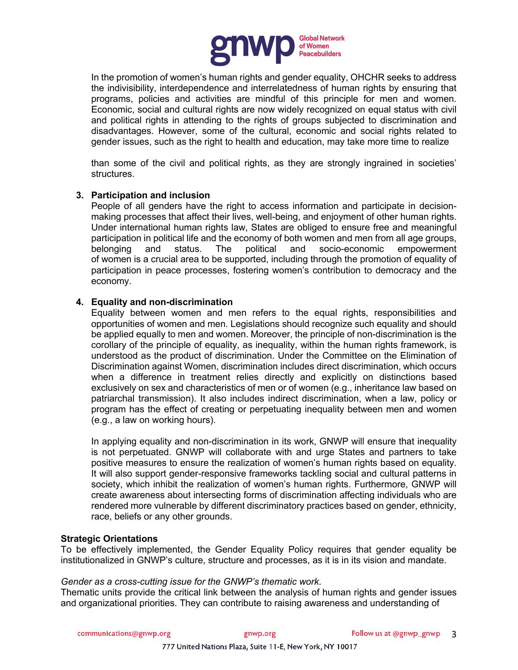

In the promotion of women's human rights and gender equality, OHCHR seeks to address the indivisibility, interdependence and interrelatedness of human rights by ensuring that programs, policies and activities are mindful of this principle for men and women. Economic, social and cultural rights are now widely recognized on equal status with civil and political rights in attending to the rights of groups subjected to discrimination and disadvantages. However, some of the cultural, economic and social rights related to gender issues, such as the right to health and education, may take more time to realize

than some of the civil and political rights, as they are strongly ingrained in societies' structures.

# **3. Participation and inclusion**

People of all genders have the right to access information and participate in decisionmaking processes that affect their lives, well-being, and enjoyment of other human rights. Under international human rights law, States are obliged to ensure free and meaningful participation in political life and the economy of both women and men from all age groups, belonging and status. The political and socio-economic empowerment of women is a crucial area to be supported, including through the promotion of equality of participation in peace processes, fostering women's contribution to democracy and the economy.

# **4. Equality and non-discrimination**

Equality between women and men refers to the equal rights, responsibilities and opportunities of women and men. Legislations should recognize such equality and should be applied equally to men and women. Moreover, the principle of non-discrimination is the corollary of the principle of equality, as inequality, within the human rights framework, is understood as the product of discrimination. Under the Committee on the Elimination of Discrimination against Women, discrimination includes direct discrimination, which occurs when a difference in treatment relies directly and explicitly on distinctions based exclusively on sex and characteristics of men or of women (e.g., inheritance law based on patriarchal transmission). It also includes indirect discrimination, when a law, policy or program has the effect of creating or perpetuating inequality between men and women (e.g., a law on working hours).

In applying equality and non-discrimination in its work, GNWP will ensure that inequality is not perpetuated. GNWP will collaborate with and urge States and partners to take positive measures to ensure the realization of women's human rights based on equality. It will also support gender-responsive frameworks tackling social and cultural patterns in society, which inhibit the realization of women's human rights. Furthermore, GNWP will create awareness about intersecting forms of discrimination affecting individuals who are rendered more vulnerable by different discriminatory practices based on gender, ethnicity, race, beliefs or any other grounds.

### **Strategic Orientations**

To be effectively implemented, the Gender Equality Policy requires that gender equality be institutionalized in GNWP's culture, structure and processes, as it is in its vision and mandate.

### *Gender as a cross-cutting issue for the GNWP's thematic work*.

Thematic units provide the critical link between the analysis of human rights and gender issues and organizational priorities. They can contribute to raising awareness and understanding of

communications@gnwp.org